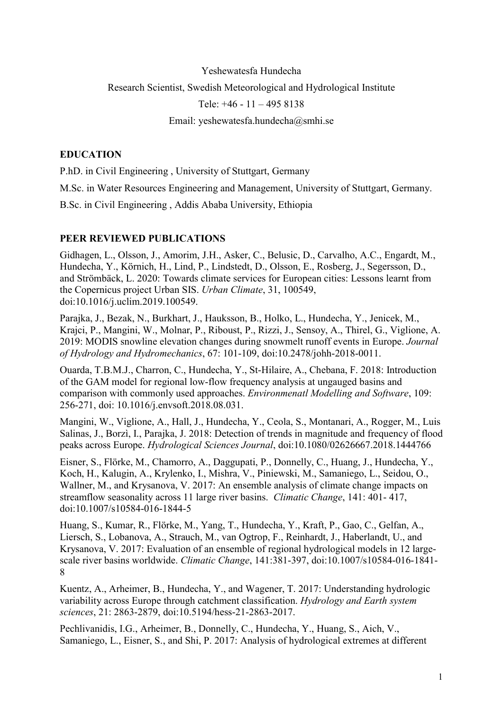## Yeshewatesfa Hundecha Research Scientist, Swedish Meteorological and Hydrological Institute Tele: +46 - 11 – 495 8138 Email: yeshewatesfa.hundecha@smhi.se

## **EDUCATION**

P.hD. in Civil Engineering , University of Stuttgart, Germany M.Sc. in Water Resources Engineering and Management, University of Stuttgart, Germany. B.Sc. in Civil Engineering , Addis Ababa University, Ethiopia

## PEER REVIEWED PUBLICATIONS

Gidhagen, L., Olsson, J., Amorim, J.H., Asker, C., Belusic, D., Carvalho, A.C., Engardt, M., Hundecha, Y., Körnich, H., Lind, P., Lindstedt, D., Olsson, E., Rosberg, J., Segersson, D., and Strömbäck, L. 2020: Towards climate services for European cities: Lessons learnt from the Copernicus project Urban SIS. Urban Climate, 31, 100549, doi:10.1016/j.uclim.2019.100549.

Parajka, J., Bezak, N., Burkhart, J., Hauksson, B., Holko, L., Hundecha, Y., Jenicek, M., Krajci, P., Mangini, W., Molnar, P., Riboust, P., Rizzi, J., Sensoy, A., Thirel, G., Viglione, A. 2019: MODIS snowline elevation changes during snowmelt runoff events in Europe. Journal of Hydrology and Hydromechanics, 67: 101-109, doi:10.2478/johh-2018-0011.

Ouarda, T.B.M.J., Charron, C., Hundecha, Y., St-Hilaire, A., Chebana, F. 2018: Introduction of the GAM model for regional low-flow frequency analysis at ungauged basins and comparison with commonly used approaches. Environmenatl Modelling and Software, 109: 256-271, doi: 10.1016/j.envsoft.2018.08.031.

Mangini, W., Viglione, A., Hall, J., Hundecha, Y., Ceola, S., Montanari, A., Rogger, M., Luis Salinas, J., Borzì, I., Parajka, J. 2018: Detection of trends in magnitude and frequency of flood peaks across Europe. Hydrological Sciences Journal, doi:10.1080/02626667.2018.1444766

Eisner, S., Flörke, M., Chamorro, A., Daggupati, P., Donnelly, C., Huang, J., Hundecha, Y., Koch, H., Kalugin, A., Krylenko, I., Mishra, V., Piniewski, M., Samaniego, L., Seidou, O., Wallner, M., and Krysanova, V. 2017: An ensemble analysis of climate change impacts on streamflow seasonality across 11 large river basins. Climatic Change, 141: 401- 417, doi:10.1007/s10584-016-1844-5

Huang, S., Kumar, R., Flörke, M., Yang, T., Hundecha, Y., Kraft, P., Gao, C., Gelfan, A., Liersch, S., Lobanova, A., Strauch, M., van Ogtrop, F., Reinhardt, J., Haberlandt, U., and Krysanova, V. 2017: Evaluation of an ensemble of regional hydrological models in 12 largescale river basins worldwide. Climatic Change, 141:381-397, doi:10.1007/s10584-016-1841- 8

Kuentz, A., Arheimer, B., Hundecha, Y., and Wagener, T. 2017: Understanding hydrologic variability across Europe through catchment classification. Hydrology and Earth system sciences, 21: 2863-2879, doi:10.5194/hess-21-2863-2017.

Pechlivanidis, I.G., Arheimer, B., Donnelly, C., Hundecha, Y., Huang, S., Aich, V., Samaniego, L., Eisner, S., and Shi, P. 2017: Analysis of hydrological extremes at different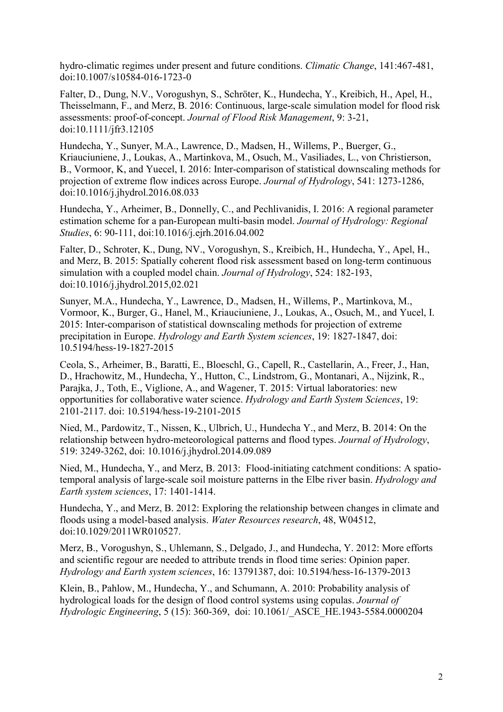hydro-climatic regimes under present and future conditions. Climatic Change, 141:467-481, doi:10.1007/s10584-016-1723-0

Falter, D., Dung, N.V., Vorogushyn, S., Schröter, K., Hundecha, Y., Kreibich, H., Apel, H., Theisselmann, F., and Merz, B. 2016: Continuous, large-scale simulation model for flood risk assessments: proof-of-concept. Journal of Flood Risk Management, 9: 3-21, doi:10.1111/jfr3.12105

Hundecha, Y., Sunyer, M.A., Lawrence, D., Madsen, H., Willems, P., Buerger, G., Kriauciuniene, J., Loukas, A., Martinkova, M., Osuch, M., Vasiliades, L., von Christierson, B., Vormoor, K, and Yuecel, I. 2016: Inter-comparison of statistical downscaling methods for projection of extreme flow indices across Europe. Journal of Hydrology, 541: 1273-1286, doi:10.1016/j.jhydrol.2016.08.033

Hundecha, Y., Arheimer, B., Donnelly, C., and Pechlivanidis, I. 2016: A regional parameter estimation scheme for a pan-European multi-basin model. Journal of Hydrology: Regional Studies, 6: 90-111, doi:10.1016/j.ejrh.2016.04.002

Falter, D., Schroter, K., Dung, NV., Vorogushyn, S., Kreibich, H., Hundecha, Y., Apel, H., and Merz, B. 2015: Spatially coherent flood risk assessment based on long-term continuous simulation with a coupled model chain. Journal of Hydrology, 524: 182-193, doi:10.1016/j.jhydrol.2015,02.021

Sunyer, M.A., Hundecha, Y., Lawrence, D., Madsen, H., Willems, P., Martinkova, M., Vormoor, K., Burger, G., Hanel, M., Kriauciuniene, J., Loukas, A., Osuch, M., and Yucel, I. 2015: Inter-comparison of statistical downscaling methods for projection of extreme precipitation in Europe. Hydrology and Earth System sciences, 19: 1827-1847, doi: 10.5194/hess-19-1827-2015

Ceola, S., Arheimer, B., Baratti, E., Bloeschl, G., Capell, R., Castellarin, A., Freer, J., Han, D., Hrachowitz, M., Hundecha, Y., Hutton, C., Lindstrom, G., Montanari, A., Nijzink, R., Parajka, J., Toth, E., Viglione, A., and Wagener, T. 2015: Virtual laboratories: new opportunities for collaborative water science. Hydrology and Earth System Sciences, 19: 2101-2117. doi: 10.5194/hess-19-2101-2015

Nied, M., Pardowitz, T., Nissen, K., Ulbrich, U., Hundecha Y., and Merz, B. 2014: On the relationship between hydro-meteorological patterns and flood types. Journal of Hydrology, 519: 3249-3262, doi: 10.1016/j.jhydrol.2014.09.089

Nied, M., Hundecha, Y., and Merz, B. 2013: Flood-initiating catchment conditions: A spatiotemporal analysis of large-scale soil moisture patterns in the Elbe river basin. Hydrology and Earth system sciences, 17: 1401-1414.

Hundecha, Y., and Merz, B. 2012: Exploring the relationship between changes in climate and floods using a model-based analysis. Water Resources research, 48, W04512, doi:10.1029/2011WR010527.

Merz, B., Vorogushyn, S., Uhlemann, S., Delgado, J., and Hundecha, Y. 2012: More efforts and scientific regour are needed to attribute trends in flood time series: Opinion paper. Hydrology and Earth system sciences, 16: 13791387, doi: 10.5194/hess-16-1379-2013

Klein, B., Pahlow, M., Hundecha, Y., and Schumann, A. 2010: Probability analysis of hydrological loads for the design of flood control systems using copulas. Journal of Hydrologic Engineering, 5 (15): 360-369, doi: 10.1061/\_ASCE\_HE.1943-5584.0000204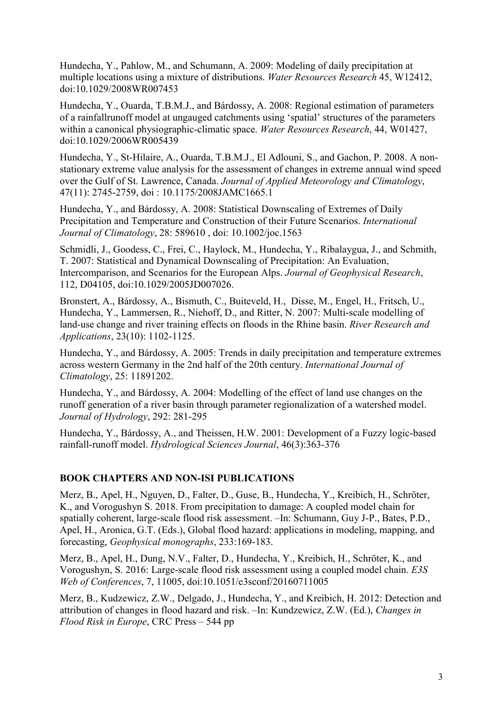Hundecha, Y., Pahlow, M., and Schumann, A. 2009: Modeling of daily precipitation at multiple locations using a mixture of distributions. Water Resources Research 45, W12412, doi:10.1029/2008WR007453

Hundecha, Y., Ouarda, T.B.M.J., and Bárdossy, A. 2008: Regional estimation of parameters of a rainfallrunoff model at ungauged catchments using 'spatial' structures of the parameters within a canonical physiographic-climatic space. Water Resources Research, 44, W01427, doi:10.1029/2006WR005439

Hundecha, Y., St-Hilaire, A., Ouarda, T.B.M.J., El Adlouni, S., and Gachon, P. 2008. A nonstationary extreme value analysis for the assessment of changes in extreme annual wind speed over the Gulf of St. Lawrence, Canada. Journal of Applied Meteorology and Climatology, 47(11): 2745-2759, doi : 10.1175/2008JAMC1665.1

Hundecha, Y., and Bárdossy, A. 2008: Statistical Downscaling of Extremes of Daily Precipitation and Temperature and Construction of their Future Scenarios. International Journal of Climatology, 28: 589610 , doi: 10.1002/joc.1563

Schmidli, J., Goodess, C., Frei, C., Haylock, M., Hundecha, Y., Ribalaygua, J., and Schmith, T. 2007: Statistical and Dynamical Downscaling of Precipitation: An Evaluation, Intercomparison, and Scenarios for the European Alps. Journal of Geophysical Research, 112, D04105, doi:10.1029/2005JD007026.

Bronstert, A., Bárdossy, A., Bismuth, C., Buiteveld, H., Disse, M., Engel, H., Fritsch, U., Hundecha, Y., Lammersen, R., Niehoff, D., and Ritter, N. 2007: Multi-scale modelling of land-use change and river training effects on floods in the Rhine basin. River Research and Applications, 23(10): 1102-1125.

Hundecha, Y., and Bárdossy, A. 2005: Trends in daily precipitation and temperature extremes across western Germany in the 2nd half of the 20th century. International Journal of Climatology, 25: 11891202.

Hundecha, Y., and Bárdossy, A. 2004: Modelling of the effect of land use changes on the runoff generation of a river basin through parameter regionalization of a watershed model. Journal of Hydrology, 292: 281-295

Hundecha, Y., Bárdossy, A., and Theissen, H.W. 2001: Development of a Fuzzy logic-based rainfall-runoff model. Hydrological Sciences Journal, 46(3):363-376

## BOOK CHAPTERS AND NON-ISI PUBLICATIONS

Merz, B., Apel, H., Nguyen, D., Falter, D., Guse, B., Hundecha, Y., Kreibich, H., Schröter, K., and Vorogushyn S. 2018. From precipitation to damage: A coupled model chain for spatially coherent, large-scale flood risk assessment. –In: Schumann, Guy J-P., Bates, P.D., Apel, H., Aronica, G.T. (Eds.), Global flood hazard: applications in modeling, mapping, and forecasting, Geophysical monographs, 233:169-183.

Merz, B., Apel, H., Dung, N.V., Falter, D., Hundecha, Y., Kreibich, H., Schröter, K., and Vorogushyn, S. 2016: Large-scale flood risk assessment using a coupled model chain. E3S Web of Conferences, 7, 11005, doi:10.1051/e3sconf/20160711005

Merz, B., Kudzewicz, Z.W., Delgado, J., Hundecha, Y., and Kreibich, H. 2012: Detection and attribution of changes in flood hazard and risk. –In: Kundzewicz, Z.W. (Ed.), Changes in Flood Risk in Europe, CRC Press – 544 pp